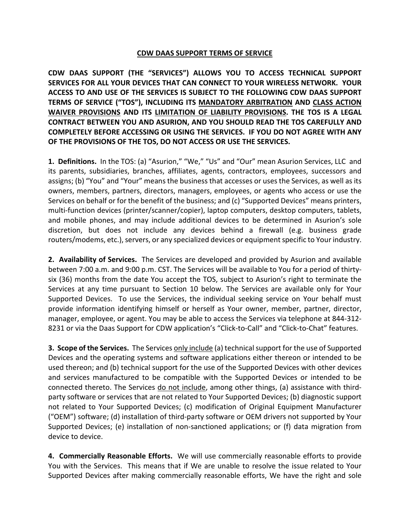## **CDW DAAS SUPPORT TERMS OF SERVICE**

**CDW DAAS SUPPORT (THE "SERVICES") ALLOWS YOU TO ACCESS TECHNICAL SUPPORT SERVICES FOR ALL YOUR DEVICES THAT CAN CONNECT TO YOUR WIRELESS NETWORK. YOUR ACCESS TO AND USE OF THE SERVICES IS SUBJECT TO THE FOLLOWING CDW DAAS SUPPORT TERMS OF SERVICE ("TOS"), INCLUDING ITS MANDATORY ARBITRATION AND CLASS ACTION WAIVER PROVISIONS AND ITS LIMITATION OF LIABILITY PROVISIONS. THE TOS IS A LEGAL CONTRACT BETWEEN YOU AND ASURION, AND YOU SHOULD READ THE TOS CAREFULLY AND COMPLETELY BEFORE ACCESSING OR USING THE SERVICES. IF YOU DO NOT AGREE WITH ANY OF THE PROVISIONS OF THE TOS, DO NOT ACCESS OR USE THE SERVICES.**

**1. Definitions.** In the TOS: (a) "Asurion," "We," "Us" and "Our" mean Asurion Services, LLC and its parents, subsidiaries, branches, affiliates, agents, contractors, employees, successors and assigns; (b) "You" and "Your" means the business that accesses or uses the Services, as well as its owners, members, partners, directors, managers, employees, or agents who access or use the Services on behalf or for the benefit of the business; and (c) "Supported Devices" means printers, multi-function devices (printer/scanner/copier), laptop computers, desktop computers, tablets, and mobile phones, and may include additional devices to be determined in Asurion's sole discretion, but does not include any devices behind a firewall (e.g. business grade routers/modems, etc.), servers, or any specialized devices or equipment specific to Your industry.

**2. Availability of Services.** The Services are developed and provided by Asurion and available between 7:00 a.m. and 9:00 p.m. CST. The Services will be available to You for a period of thirtysix (36) months from the date You accept the TOS, subject to Asurion's right to terminate the Services at any time pursuant to Section 10 below. The Services are available only for Your Supported Devices. To use the Services, the individual seeking service on Your behalf must provide information identifying himself or herself as Your owner, member, partner, director, manager, employee, or agent. You may be able to access the Services via telephone at 844-312- 8231 or via the Daas Support for CDW application's "Click-to-Call" and "Click-to-Chat" features.

**3. Scope of the Services.** The Services only include (a) technical support for the use of Supported Devices and the operating systems and software applications either thereon or intended to be used thereon; and (b) technical support for the use of the Supported Devices with other devices and services manufactured to be compatible with the Supported Devices or intended to be connected thereto. The Services do not include, among other things, (a) assistance with thirdparty software or services that are not related to Your Supported Devices; (b) diagnostic support not related to Your Supported Devices; (c) modification of Original Equipment Manufacturer ("OEM") software; (d) installation of third-party software or OEM drivers not supported by Your Supported Devices; (e) installation of non-sanctioned applications; or (f) data migration from device to device.

**4. Commercially Reasonable Efforts.** We will use commercially reasonable efforts to provide You with the Services. This means that if We are unable to resolve the issue related to Your Supported Devices after making commercially reasonable efforts, We have the right and sole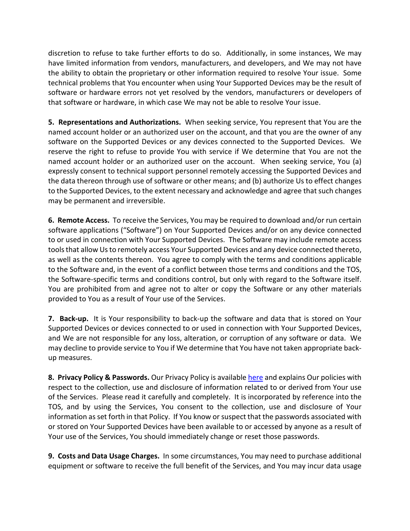discretion to refuse to take further efforts to do so. Additionally, in some instances, We may have limited information from vendors, manufacturers, and developers, and We may not have the ability to obtain the proprietary or other information required to resolve Your issue. Some technical problems that You encounter when using Your Supported Devices may be the result of software or hardware errors not yet resolved by the vendors, manufacturers or developers of that software or hardware, in which case We may not be able to resolve Your issue.

**5. Representations and Authorizations.** When seeking service, You represent that You are the named account holder or an authorized user on the account, and that you are the owner of any software on the Supported Devices or any devices connected to the Supported Devices. We reserve the right to refuse to provide You with service if We determine that You are not the named account holder or an authorized user on the account. When seeking service, You (a) expressly consent to technical support personnel remotely accessing the Supported Devices and the data thereon through use of software or other means; and (b) authorize Us to effect changes to the Supported Devices, to the extent necessary and acknowledge and agree that such changes may be permanent and irreversible.

**6. Remote Access.** To receive the Services, You may be required to download and/or run certain software applications ("Software") on Your Supported Devices and/or on any device connected to or used in connection with Your Supported Devices. The Software may include remote access tools that allow Us to remotely access Your Supported Devices and any device connected thereto, as well as the contents thereon. You agree to comply with the terms and conditions applicable to the Software and, in the event of a conflict between those terms and conditions and the TOS, the Software-specific terms and conditions control, but only with regard to the Software itself. You are prohibited from and agree not to alter or copy the Software or any other materials provided to You as a result of Your use of the Services.

**7. Back-up.** It is Your responsibility to back-up the software and data that is stored on Your Supported Devices or devices connected to or used in connection with Your Supported Devices, and We are not responsible for any loss, alteration, or corruption of any software or data. We may decline to provide service to You if We determine that You have not taken appropriate backup measures.

**8. Privacy Policy & Passwords.** Our Privacy Policy is availabl[e here](https://www.asurion.com/pdf/cdw_privacy/) and explains Our policies with respect to the collection, use and disclosure of information related to or derived from Your use of the Services. Please read it carefully and completely. It is incorporated by reference into the TOS, and by using the Services, You consent to the collection, use and disclosure of Your information as set forth in that Policy. If You know or suspect that the passwords associated with or stored on Your Supported Devices have been available to or accessed by anyone as a result of Your use of the Services, You should immediately change or reset those passwords.

**9. Costs and Data Usage Charges.** In some circumstances, You may need to purchase additional equipment or software to receive the full benefit of the Services, and You may incur data usage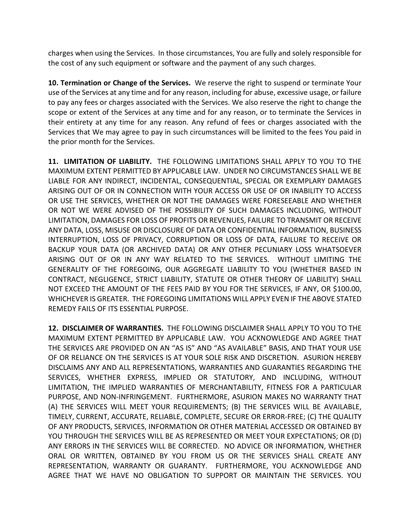charges when using the Services. In those circumstances, You are fully and solely responsible for the cost of any such equipment or software and the payment of any such charges.

**10. Termination or Change of the Services.** We reserve the right to suspend or terminate Your use of the Services at any time and for any reason, including for abuse, excessive usage, or failure to pay any fees or charges associated with the Services. We also reserve the right to change the scope or extent of the Services at any time and for any reason, or to terminate the Services in their entirety at any time for any reason. Any refund of fees or charges associated with the Services that We may agree to pay in such circumstances will be limited to the fees You paid in the prior month for the Services.

**11. LIMITATION OF LIABILITY.** THE FOLLOWING LIMITATIONS SHALL APPLY TO YOU TO THE MAXIMUM EXTENT PERMITTED BY APPLICABLE LAW. UNDER NO CIRCUMSTANCES SHALL WE BE LIABLE FOR ANY INDIRECT, INCIDENTAL, CONSEQUENTIAL, SPECIAL OR EXEMPLARY DAMAGES ARISING OUT OF OR IN CONNECTION WITH YOUR ACCESS OR USE OF OR INABILITY TO ACCESS OR USE THE SERVICES, WHETHER OR NOT THE DAMAGES WERE FORESEEABLE AND WHETHER OR NOT WE WERE ADVISED OF THE POSSIBILITY OF SUCH DAMAGES INCLUDING, WITHOUT LIMITATION, DAMAGES FOR LOSS OF PROFITS OR REVENUES, FAILURE TO TRANSMIT OR RECEIVE ANY DATA, LOSS, MISUSE OR DISCLOSURE OF DATA OR CONFIDENTIAL INFORMATION, BUSINESS INTERRUPTION, LOSS OF PRIVACY, CORRUPTION OR LOSS OF DATA, FAILURE TO RECEIVE OR BACKUP YOUR DATA (OR ARCHIVED DATA) OR ANY OTHER PECUNIARY LOSS WHATSOEVER ARISING OUT OF OR IN ANY WAY RELATED TO THE SERVICES. WITHOUT LIMITING THE GENERALITY OF THE FOREGOING, OUR AGGREGATE LIABILITY TO YOU (WHETHER BASED IN CONTRACT, NEGLIGENCE, STRICT LIABILITY, STATUTE OR OTHER THEORY OF LIABILITY) SHALL NOT EXCEED THE AMOUNT OF THE FEES PAID BY YOU FOR THE SERVICES, IF ANY, OR \$100.00, WHICHEVER IS GREATER. THE FOREGOING LIMITATIONS WILL APPLY EVEN IF THE ABOVE STATED REMEDY FAILS OF ITS ESSENTIAL PURPOSE.

**12. DISCLAIMER OF WARRANTIES.** THE FOLLOWING DISCLAIMER SHALL APPLY TO YOU TO THE MAXIMUM EXTENT PERMITTED BY APPLICABLE LAW. YOU ACKNOWLEDGE AND AGREE THAT THE SERVICES ARE PROVIDED ON AN "AS IS" AND "AS AVAILABLE" BASIS, AND THAT YOUR USE OF OR RELIANCE ON THE SERVICES IS AT YOUR SOLE RISK AND DISCRETION. ASURION HEREBY DISCLAIMS ANY AND ALL REPRESENTATIONS, WARRANTIES AND GUARANTIES REGARDING THE SERVICES, WHETHER EXPRESS, IMPLIED OR STATUTORY, AND INCLUDING, WITHOUT LIMITATION, THE IMPLIED WARRANTIES OF MERCHANTABILITY, FITNESS FOR A PARTICULAR PURPOSE, AND NON-INFRINGEMENT. FURTHERMORE, ASURION MAKES NO WARRANTY THAT (A) THE SERVICES WILL MEET YOUR REQUIREMENTS; (B) THE SERVICES WILL BE AVAILABLE, TIMELY, CURRENT, ACCURATE, RELIABLE, COMPLETE, SECURE OR ERROR-FREE; (C) THE QUALITY OF ANY PRODUCTS, SERVICES, INFORMATION OR OTHER MATERIAL ACCESSED OR OBTAINED BY YOU THROUGH THE SERVICES WILL BE AS REPRESENTED OR MEET YOUR EXPECTATIONS; OR (D) ANY ERRORS IN THE SERVICES WILL BE CORRECTED. NO ADVICE OR INFORMATION, WHETHER ORAL OR WRITTEN, OBTAINED BY YOU FROM US OR THE SERVICES SHALL CREATE ANY REPRESENTATION, WARRANTY OR GUARANTY. FURTHERMORE, YOU ACKNOWLEDGE AND AGREE THAT WE HAVE NO OBLIGATION TO SUPPORT OR MAINTAIN THE SERVICES. YOU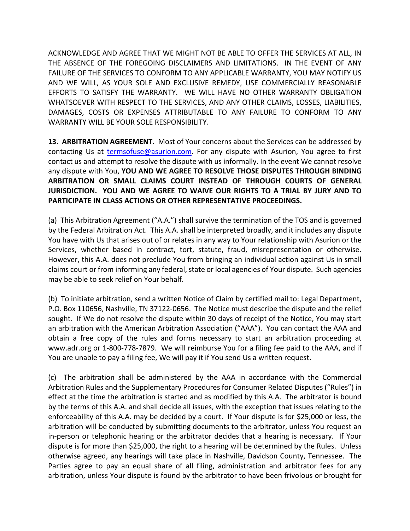ACKNOWLEDGE AND AGREE THAT WE MIGHT NOT BE ABLE TO OFFER THE SERVICES AT ALL, IN THE ABSENCE OF THE FOREGOING DISCLAIMERS AND LIMITATIONS. IN THE EVENT OF ANY FAILURE OF THE SERVICES TO CONFORM TO ANY APPLICABLE WARRANTY, YOU MAY NOTIFY US AND WE WILL, AS YOUR SOLE AND EXCLUSIVE REMEDY, USE COMMERCIALLY REASONABLE EFFORTS TO SATISFY THE WARRANTY. WE WILL HAVE NO OTHER WARRANTY OBLIGATION WHATSOEVER WITH RESPECT TO THE SERVICES, AND ANY OTHER CLAIMS, LOSSES, LIABILITIES, DAMAGES, COSTS OR EXPENSES ATTRIBUTABLE TO ANY FAILURE TO CONFORM TO ANY WARRANTY WILL BE YOUR SOLE RESPONSIBILITY.

**13. ARBITRATION AGREEMENT.** Most of Your concerns about the Services can be addressed by contacting Us at [termsofuse@asurion.com.](mailto:termsofuse@asurion.com) For any dispute with Asurion, You agree to first contact us and attempt to resolve the dispute with us informally. In the event We cannot resolve any dispute with You, **YOU AND WE AGREE TO RESOLVE THOSE DISPUTES THROUGH BINDING ARBITRATION OR SMALL CLAIMS COURT INSTEAD OF THROUGH COURTS OF GENERAL JURISDICTION. YOU AND WE AGREE TO WAIVE OUR RIGHTS TO A TRIAL BY JURY AND TO PARTICIPATE IN CLASS ACTIONS OR OTHER REPRESENTATIVE PROCEEDINGS.**

(a) This Arbitration Agreement ("A.A.") shall survive the termination of the TOS and is governed by the Federal Arbitration Act. This A.A. shall be interpreted broadly, and it includes any dispute You have with Us that arises out of or relates in any way to Your relationship with Asurion or the Services, whether based in contract, tort, statute, fraud, misrepresentation or otherwise. However, this A.A. does not preclude You from bringing an individual action against Us in small claims court or from informing any federal, state or local agencies of Your dispute. Such agencies may be able to seek relief on Your behalf.

(b) To initiate arbitration, send a written Notice of Claim by certified mail to: Legal Department, P.O. Box 110656, Nashville, TN 37122-0656. The Notice must describe the dispute and the relief sought. If We do not resolve the dispute within 30 days of receipt of the Notice, You may start an arbitration with the American Arbitration Association ("AAA"). You can contact the AAA and obtain a free copy of the rules and forms necessary to start an arbitration proceeding at www.adr.org or 1-800-778-7879. We will reimburse You for a filing fee paid to the AAA, and if You are unable to pay a filing fee, We will pay it if You send Us a written request.

(c) The arbitration shall be administered by the AAA in accordance with the Commercial Arbitration Rules and the Supplementary Procedures for Consumer Related Disputes ("Rules") in effect at the time the arbitration is started and as modified by this A.A. The arbitrator is bound by the terms of this A.A. and shall decide all issues, with the exception that issues relating to the enforceability of this A.A. may be decided by a court. If Your dispute is for \$25,000 or less, the arbitration will be conducted by submitting documents to the arbitrator, unless You request an in-person or telephonic hearing or the arbitrator decides that a hearing is necessary. If Your dispute is for more than \$25,000, the right to a hearing will be determined by the Rules. Unless otherwise agreed, any hearings will take place in Nashville, Davidson County, Tennessee. The Parties agree to pay an equal share of all filing, administration and arbitrator fees for any arbitration, unless Your dispute is found by the arbitrator to have been frivolous or brought for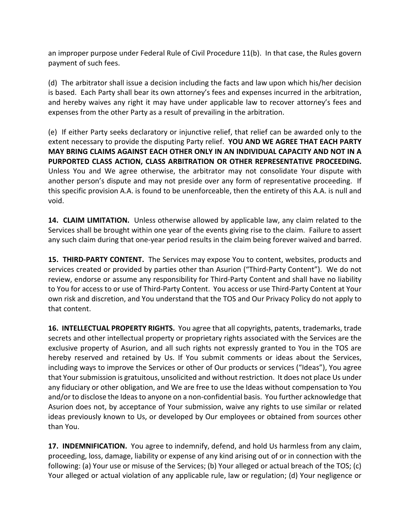an improper purpose under Federal Rule of Civil Procedure 11(b). In that case, the Rules govern payment of such fees.

(d) The arbitrator shall issue a decision including the facts and law upon which his/her decision is based. Each Party shall bear its own attorney's fees and expenses incurred in the arbitration, and hereby waives any right it may have under applicable law to recover attorney's fees and expenses from the other Party as a result of prevailing in the arbitration.

(e) If either Party seeks declaratory or injunctive relief, that relief can be awarded only to the extent necessary to provide the disputing Party relief. **YOU AND WE AGREE THAT EACH PARTY MAY BRING CLAIMS AGAINST EACH OTHER ONLY IN AN INDIVIDUAL CAPACITY AND NOT IN A PURPORTED CLASS ACTION, CLASS ARBITRATION OR OTHER REPRESENTATIVE PROCEEDING.** Unless You and We agree otherwise, the arbitrator may not consolidate Your dispute with another person's dispute and may not preside over any form of representative proceeding. If this specific provision A.A. is found to be unenforceable, then the entirety of this A.A. is null and void.

**14. CLAIM LIMITATION.** Unless otherwise allowed by applicable law, any claim related to the Services shall be brought within one year of the events giving rise to the claim. Failure to assert any such claim during that one-year period results in the claim being forever waived and barred.

**15. THIRD-PARTY CONTENT.** The Services may expose You to content, websites, products and services created or provided by parties other than Asurion ("Third-Party Content"). We do not review, endorse or assume any responsibility for Third-Party Content and shall have no liability to You for access to or use of Third-Party Content. You access or use Third-Party Content at Your own risk and discretion, and You understand that the TOS and Our Privacy Policy do not apply to that content.

**16. INTELLECTUAL PROPERTY RIGHTS.** You agree that all copyrights, patents, trademarks, trade secrets and other intellectual property or proprietary rights associated with the Services are the exclusive property of Asurion, and all such rights not expressly granted to You in the TOS are hereby reserved and retained by Us. If You submit comments or ideas about the Services, including ways to improve the Services or other of Our products or services ("Ideas"), You agree that Your submission is gratuitous, unsolicited and without restriction. It does not place Us under any fiduciary or other obligation, and We are free to use the Ideas without compensation to You and/or to disclose the Ideas to anyone on a non-confidential basis. You further acknowledge that Asurion does not, by acceptance of Your submission, waive any rights to use similar or related ideas previously known to Us, or developed by Our employees or obtained from sources other than You.

**17. INDEMNIFICATION.** You agree to indemnify, defend, and hold Us harmless from any claim, proceeding, loss, damage, liability or expense of any kind arising out of or in connection with the following: (a) Your use or misuse of the Services; (b) Your alleged or actual breach of the TOS; (c) Your alleged or actual violation of any applicable rule, law or regulation; (d) Your negligence or